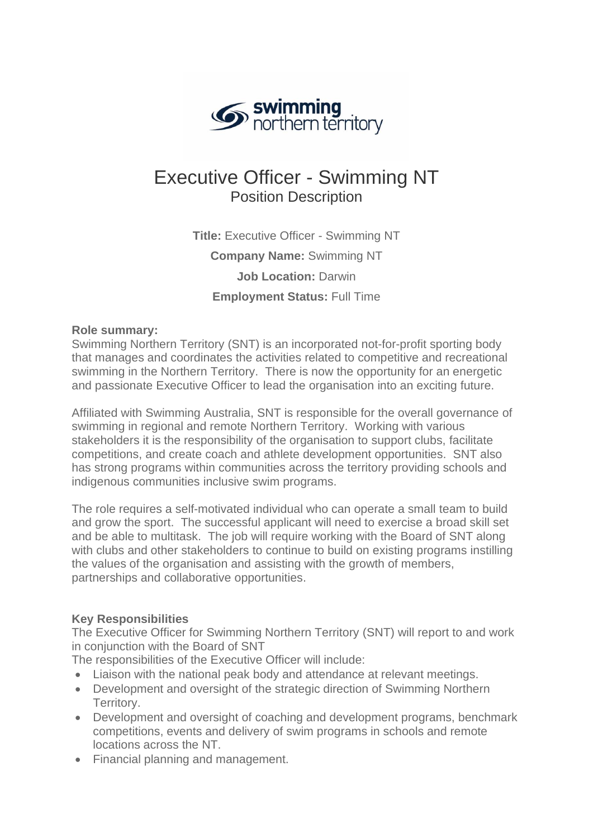

# Executive Officer - Swimming NT Position Description

**Title:** Executive Officer - Swimming NT **Company Name:** Swimming NT **Job Location:** Darwin **Employment Status:** Full Time

## **Role summary:**

Swimming Northern Territory (SNT) is an incorporated not-for-profit sporting body that manages and coordinates the activities related to competitive and recreational swimming in the Northern Territory. There is now the opportunity for an energetic and passionate Executive Officer to lead the organisation into an exciting future.

Affiliated with Swimming Australia, SNT is responsible for the overall governance of swimming in regional and remote Northern Territory. Working with various stakeholders it is the responsibility of the organisation to support clubs, facilitate competitions, and create coach and athlete development opportunities. SNT also has strong programs within communities across the territory providing schools and indigenous communities inclusive swim programs.

The role requires a self-motivated individual who can operate a small team to build and grow the sport. The successful applicant will need to exercise a broad skill set and be able to multitask. The job will require working with the Board of SNT along with clubs and other stakeholders to continue to build on existing programs instilling the values of the organisation and assisting with the growth of members, partnerships and collaborative opportunities.

## **Key Responsibilities**

The Executive Officer for Swimming Northern Territory (SNT) will report to and work in conjunction with the Board of SNT

The responsibilities of the Executive Officer will include:

- Liaison with the national peak body and attendance at relevant meetings.
- Development and oversight of the strategic direction of Swimming Northern Territory.
- Development and oversight of coaching and development programs, benchmark competitions, events and delivery of swim programs in schools and remote locations across the NT.
- Financial planning and management.